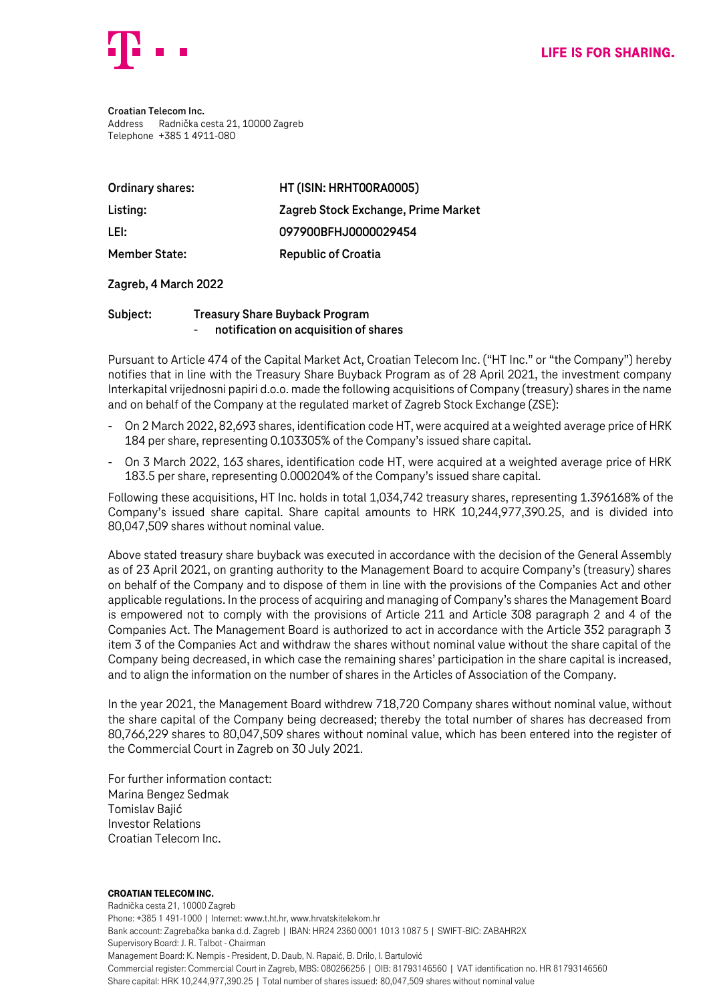

**Croatian Telecom Inc.** Address Radnička cesta 21, 10000 Zagreb Telephone +385 1 4911-080

| Ordinary shares:     | HT (ISIN: HRHTOORAOOO5)             |
|----------------------|-------------------------------------|
| Listing:             | Zagreb Stock Exchange, Prime Market |
| LEI:                 | 097900BFHJ0000029454                |
| <b>Member State:</b> | <b>Republic of Croatia</b>          |

## **Zagreb, 4 March 2022**

## **Subject: Treasury Share Buyback Program** - **notification on acquisition of shares**

Pursuant to Article 474 of the Capital Market Act, Croatian Telecom Inc. ("HT Inc." or "the Company") hereby notifies that in line with the Treasury Share Buyback Program as of 28 April 2021, the investment company Interkapital vrijednosni papiri d.o.o. made the following acquisitions of Company (treasury) shares in the name and on behalf of the Company at the regulated market of Zagreb Stock Exchange (ZSE):

- On 2 March 2022, 82,693 shares, identification code HT, were acquired at a weighted average price of HRK 184 per share, representing 0.103305% of the Company's issued share capital.
- On 3 March 2022, 163 shares, identification code HT, were acquired at a weighted average price of HRK 183.5 per share, representing 0.000204% of the Company's issued share capital.

Following these acquisitions, HT Inc. holds in total 1,034,742 treasury shares, representing 1.396168% of the Company's issued share capital. Share capital amounts to HRK 10,244,977,390.25, and is divided into 80,047,509 shares without nominal value.

Above stated treasury share buyback was executed in accordance with the decision of the General Assembly as of 23 April 2021, on granting authority to the Management Board to acquire Company's (treasury) shares on behalf of the Company and to dispose of them in line with the provisions of the Companies Act and other applicable regulations. In the process of acquiring and managing of Company's shares the Management Board is empowered not to comply with the provisions of Article 211 and Article 308 paragraph 2 and 4 of the Companies Act. The Management Board is authorized to act in accordance with the Article 352 paragraph 3 item 3 of the Companies Act and withdraw the shares without nominal value without the share capital of the Company being decreased, in which case the remaining shares' participation in the share capital is increased, and to align the information on the number of shares in the Articles of Association of the Company.

In the year 2021, the Management Board withdrew 718,720 Company shares without nominal value, without the share capital of the Company being decreased; thereby the total number of shares has decreased from 80,766,229 shares to 80,047,509 shares without nominal value, which has been entered into the register of the Commercial Court in Zagreb on 30 July 2021.

For further information contact: Marina Bengez Sedmak Tomislav Bajić Investor Relations Croatian Telecom Inc.

## Croatian Telecom Inc.

Radnička cesta 21, 10000 Zagreb Phone: +385 1 491-1000 | Internet: www.t.ht.hr, www.hrvatskitelekom.hr Bank account: Zagrebačka banka d.d. Zagreb | IBAN: HR24 2360 0001 1013 1087 5 | SWIFT-BIC: ZABAHR2X Supervisory Board: J. R. Talbot - Chairman Management Board: K. Nempis - President, D. Daub, N. Rapaić, B. Drilo, I. Bartulović Commercial register: Commercial Court in Zagreb, MBS: 080266256 | OIB: 81793146560 | VAT identification no. HR 81793146560 Share capital: HRK 10,244,977,390.25 | Total number of shares issued: 80,047,509 shares without nominal value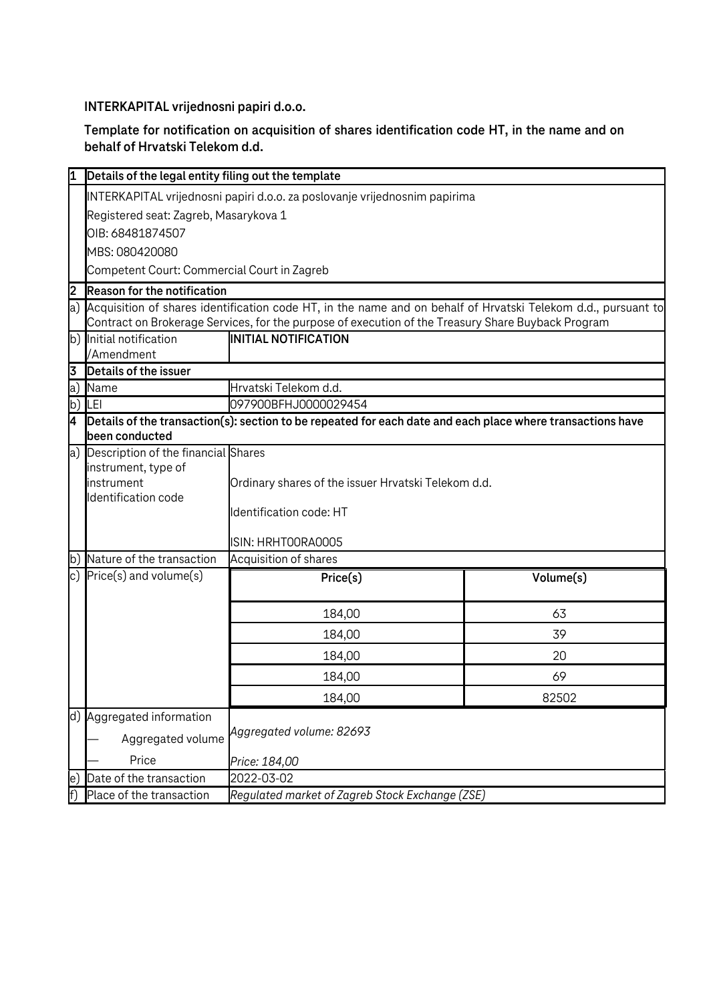**INTERKAPITAL vrijednosni papiri d.o.o.**

**Template for notification on acquisition of shares identification code HT, in the name and on behalf of Hrvatski Telekom d.d.**

|     | Details of the legal entity filing out the template                                                                          |                                                     |           |  |  |
|-----|------------------------------------------------------------------------------------------------------------------------------|-----------------------------------------------------|-----------|--|--|
|     | INTERKAPITAL vrijednosni papiri d.o.o. za poslovanje vrijednosnim papirima                                                   |                                                     |           |  |  |
|     | Registered seat: Zagreb, Masarykova 1                                                                                        |                                                     |           |  |  |
|     | OIB: 68481874507                                                                                                             |                                                     |           |  |  |
|     | MBS: 080420080                                                                                                               |                                                     |           |  |  |
|     | Competent Court: Commercial Court in Zagreb                                                                                  |                                                     |           |  |  |
| 2   | <b>Reason for the notification</b>                                                                                           |                                                     |           |  |  |
|     | a) Acquisition of shares identification code HT, in the name and on behalf of Hrvatski Telekom d.d., pursuant to             |                                                     |           |  |  |
|     | Contract on Brokerage Services, for the purpose of execution of the Treasury Share Buyback Program                           |                                                     |           |  |  |
|     | b) Initial notification                                                                                                      | <b>INITIAL NOTIFICATION</b>                         |           |  |  |
|     | /Amendment<br>Details of the issuer                                                                                          |                                                     |           |  |  |
| 3   | a) Name                                                                                                                      |                                                     |           |  |  |
|     | b) $ LEI $                                                                                                                   | Hrvatski Telekom d.d.<br>097900BFHJ0000029454       |           |  |  |
| I4  |                                                                                                                              |                                                     |           |  |  |
|     | Details of the transaction(s): section to be repeated for each date and each place where transactions have<br>been conducted |                                                     |           |  |  |
|     | a) Description of the financial Shares                                                                                       |                                                     |           |  |  |
|     | instrument, type of                                                                                                          |                                                     |           |  |  |
|     | instrument                                                                                                                   | Ordinary shares of the issuer Hrvatski Telekom d.d. |           |  |  |
|     | Identification code                                                                                                          |                                                     |           |  |  |
|     |                                                                                                                              | Identification code: HT                             |           |  |  |
|     |                                                                                                                              | ISIN: HRHTOORAOOO5                                  |           |  |  |
|     | b) Nature of the transaction                                                                                                 | Acquisition of shares                               |           |  |  |
|     | c) $Price(s)$ and volume $(s)$                                                                                               | Price(s)                                            | Volume(s) |  |  |
|     |                                                                                                                              |                                                     |           |  |  |
|     |                                                                                                                              | 184,00                                              | 63        |  |  |
|     |                                                                                                                              | 184,00                                              | 39        |  |  |
|     |                                                                                                                              | 184,00                                              | 20        |  |  |
|     |                                                                                                                              | 184,00                                              | 69        |  |  |
|     |                                                                                                                              | 184,00                                              | 82502     |  |  |
|     | d) Aggregated information                                                                                                    |                                                     |           |  |  |
|     | Aggregated volume                                                                                                            | Aggregated volume: 82693                            |           |  |  |
|     | Price                                                                                                                        | Price: 184,00                                       |           |  |  |
| le. | Date of the transaction                                                                                                      | 2022-03-02                                          |           |  |  |
|     | Place of the transaction                                                                                                     | Regulated market of Zagreb Stock Exchange (ZSE)     |           |  |  |